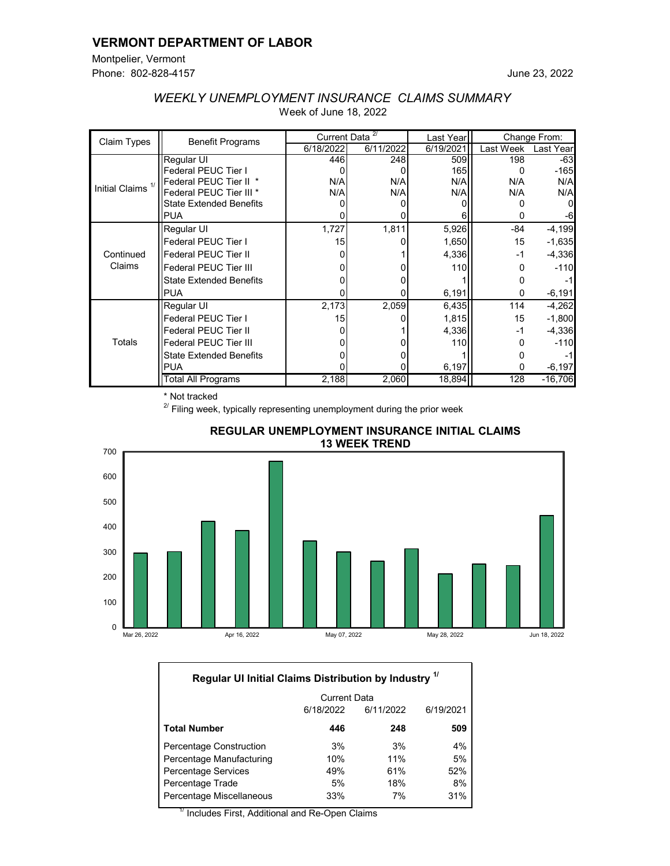### **VERMONT DEPARTMENT OF LABOR**

Montpelier, Vermont Phone: 802-828-4157

| Claim Types                  | <b>Benefit Programs</b>        | Current Data <sup><sup>27</sup></sup> |           | Last Year | Change From: |           |
|------------------------------|--------------------------------|---------------------------------------|-----------|-----------|--------------|-----------|
|                              |                                | 6/18/2022                             | 6/11/2022 | 6/19/2021 | Last Week    | Last Year |
| Initial Claims <sup>1/</sup> | Regular UI                     | 446                                   | 248       | 509       | 198          | $-63$     |
|                              | <b>Federal PEUC Tier I</b>     |                                       |           | 165       |              | $-165$    |
|                              | Federal PEUC Tier II *         | N/A                                   | N/A       | N/A       | N/A          | N/A       |
|                              | Federal PEUC Tier III *        | N/A                                   | N/A       | N/A       | N/A          | N/A       |
|                              | <b>State Extended Benefits</b> |                                       |           |           |              |           |
|                              | <b>PUA</b>                     |                                       |           | 6         |              |           |
| Continued<br>Claims          | Regular UI                     | 1,727                                 | 1,811     | 5,926     | $-84$        | $-4,199$  |
|                              | Federal PEUC Tier I            | 15                                    |           | 1,650     | 15           | $-1,635$  |
|                              | <b>Federal PEUC Tier II</b>    |                                       |           | 4,336     | -1           | $-4,336$  |
|                              | <b>Federal PEUC Tier III</b>   |                                       |           | 110       | 0            | $-110$    |
|                              | <b>State Extended Benefits</b> |                                       |           |           |              |           |
|                              | <b>PUA</b>                     |                                       |           | 6,191     | 0            | $-6,191$  |
| Totals                       | Regular UI                     | 2,173                                 | 2,059     | 6,435     | 114          | $-4,262$  |
|                              | Federal PEUC Tier I            | 15                                    |           | 1,815     | 15           | $-1,800$  |
|                              | <b>Federal PEUC Tier II</b>    |                                       |           | 4,336     | -1           | $-4,336$  |
|                              | <b>Federal PEUC Tier III</b>   |                                       |           | 110       | O            | $-110$    |
|                              | <b>State Extended Benefits</b> |                                       |           |           |              |           |
|                              | <b>PUA</b>                     |                                       |           | 6,197     | 0            | $-6,197$  |
|                              | Total All Programs             | 2,188                                 | 2,060     | 18,894    | 128          | $-16,706$ |

# *WEEKLY UNEMPLOYMENT INSURANCE CLAIMS SUMMARY* Week of June 18, 2022

\* Not tracked

 $2^{2}$  Filing week, typically representing unemployment during the prior week



#### **REGULAR UNEMPLOYMENT INSURANCE INITIAL CLAIMS 13 WEEK TREND**

| Regular UI Initial Claims Distribution by Industry 1/ |                     |           |           |  |  |  |
|-------------------------------------------------------|---------------------|-----------|-----------|--|--|--|
|                                                       | <b>Current Data</b> |           |           |  |  |  |
|                                                       | 6/18/2022           | 6/11/2022 | 6/19/2021 |  |  |  |
| <b>Total Number</b>                                   | 446                 | 248       | 509       |  |  |  |
| <b>Percentage Construction</b>                        | 3%                  | 3%        | 4%        |  |  |  |
| Percentage Manufacturing                              | 10%                 | 11%       | 5%        |  |  |  |
| <b>Percentage Services</b>                            | 49%                 | 61%       | 52%       |  |  |  |
| Percentage Trade                                      | 5%                  | 18%       | 8%        |  |  |  |
| Percentage Miscellaneous                              | 33%                 | 7%        | 31%       |  |  |  |

 $^\prime$  Includes First, Additional and Re-Open Claims